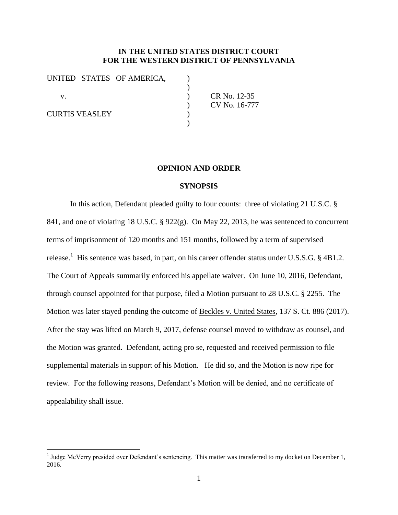## **IN THE UNITED STATES DISTRICT COURT FOR THE WESTERN DISTRICT OF PENNSYLVANIA**

|                       |  | UNITED STATES OF AMERICA, |               |
|-----------------------|--|---------------------------|---------------|
|                       |  |                           |               |
| V.                    |  |                           | CR No. 12-35  |
|                       |  |                           | CV No. 16-777 |
| <b>CURTIS VEASLEY</b> |  |                           |               |
|                       |  |                           |               |

## **OPINION AND ORDER**

## **SYNOPSIS**

In this action, Defendant pleaded guilty to four counts: three of violating 21 U.S.C. § 841, and one of violating 18 U.S.C. § 922(g). On May 22, 2013, he was sentenced to concurrent terms of imprisonment of 120 months and 151 months, followed by a term of supervised release.<sup>1</sup> His sentence was based, in part, on his career offender status under U.S.S.G. § 4B1.2. The Court of Appeals summarily enforced his appellate waiver. On June 10, 2016, Defendant, through counsel appointed for that purpose, filed a Motion pursuant to 28 U.S.C. § 2255. The Motion was later stayed pending the outcome of Beckles v. United States, 137 S. Ct. 886 (2017). After the stay was lifted on March 9, 2017, defense counsel moved to withdraw as counsel, and the Motion was granted. Defendant, acting pro se, requested and received permission to file supplemental materials in support of his Motion. He did so, and the Motion is now ripe for review. For the following reasons, Defendant's Motion will be denied, and no certificate of appealability shall issue.

 $\overline{a}$ 

<sup>&</sup>lt;sup>1</sup> Judge McVerry presided over Defendant's sentencing. This matter was transferred to my docket on December 1, 2016.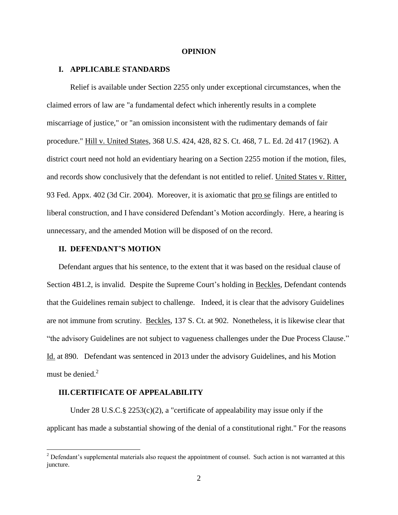#### **OPINION**

#### **I. APPLICABLE STANDARDS**

Relief is available under Section 2255 only under exceptional circumstances, when the claimed errors of law are "a fundamental defect which inherently results in a complete miscarriage of justice," or "an omission inconsistent with the rudimentary demands of fair procedure." Hill v. United States, 368 U.S. 424, 428, 82 S. Ct. 468, 7 L. Ed. 2d 417 (1962). A district court need not hold an evidentiary hearing on a Section 2255 motion if the motion, files, and records show conclusively that the defendant is not entitled to relief. United States v. Ritter, 93 Fed. Appx. 402 (3d Cir. 2004). Moreover, it is axiomatic that pro se filings are entitled to liberal construction, and I have considered Defendant's Motion accordingly. Here, a hearing is unnecessary, and the amended Motion will be disposed of on the record.

### **II. DEFENDANT'S MOTION**

Defendant argues that his sentence, to the extent that it was based on the residual clause of Section 4B1.2, is invalid. Despite the Supreme Court's holding in Beckles, Defendant contends that the Guidelines remain subject to challenge. Indeed, it is clear that the advisory Guidelines are not immune from scrutiny. Beckles, 137 S. Ct. at 902. Nonetheless, it is likewise clear that "the advisory Guidelines are not subject to vagueness challenges under the Due Process Clause." Id. at 890. Defendant was sentenced in 2013 under the advisory Guidelines, and his Motion must be denied. $2$ 

### **III.CERTIFICATE OF APPEALABILITY**

 $\overline{a}$ 

Under 28 U.S.C.  $\S 2253(c)(2)$ , a "certificate of appealability may issue only if the applicant has made a substantial showing of the denial of a constitutional right." For the reasons

 $2$  Defendant's supplemental materials also request the appointment of counsel. Such action is not warranted at this juncture.